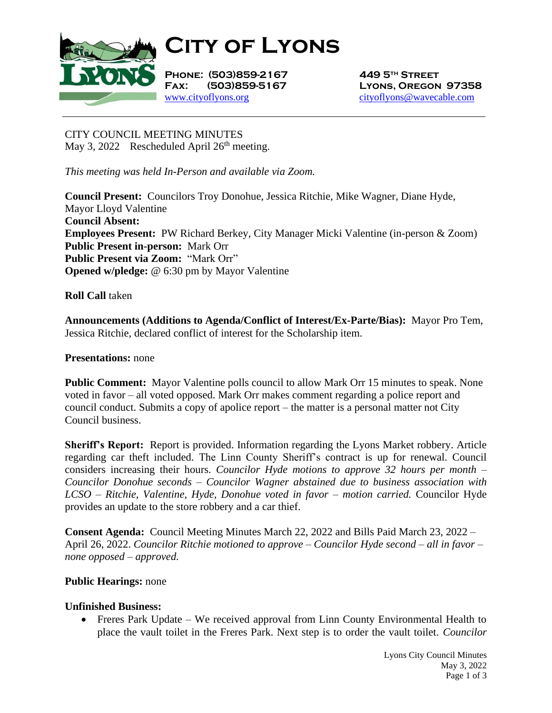

**City of Lyons**

**Phone: (503)859-2167 449 5th Street** [www.cityoflyons.org](http://www.cityoflyons.org/) [cityoflyons@wavecable.com](mailto:cityoflyons@wavecable.com)

**Fax: (503)859-5167 Lyons, Oregon 97358**

CITY COUNCIL MEETING MINUTES May 3, 2022 Rescheduled April  $26<sup>th</sup>$  meeting.

*This meeting was held In-Person and available via Zoom.*

**Council Present:** Councilors Troy Donohue, Jessica Ritchie, Mike Wagner, Diane Hyde, Mayor Lloyd Valentine **Council Absent: Employees Present:** PW Richard Berkey, City Manager Micki Valentine (in-person & Zoom) **Public Present in-person:** Mark Orr **Public Present via Zoom:** "Mark Orr" **Opened w/pledge:** @ 6:30 pm by Mayor Valentine

**Roll Call** taken

**Announcements (Additions to Agenda/Conflict of Interest/Ex-Parte/Bias):** Mayor Pro Tem, Jessica Ritchie, declared conflict of interest for the Scholarship item.

## **Presentations:** none

**Public Comment:** Mayor Valentine polls council to allow Mark Orr 15 minutes to speak. None voted in favor – all voted opposed. Mark Orr makes comment regarding a police report and council conduct. Submits a copy of apolice report – the matter is a personal matter not City Council business.

**Sheriff's Report:** Report is provided. Information regarding the Lyons Market robbery. Article regarding car theft included. The Linn County Sheriff's contract is up for renewal. Council considers increasing their hours. *Councilor Hyde motions to approve 32 hours per month – Councilor Donohue seconds – Councilor Wagner abstained due to business association with LCSO – Ritchie, Valentine, Hyde, Donohue voted in favor – motion carried.* Councilor Hyde provides an update to the store robbery and a car thief.

**Consent Agenda:** Council Meeting Minutes March 22, 2022 and Bills Paid March 23, 2022 – April 26, 2022. *Councilor Ritchie motioned to approve – Councilor Hyde second – all in favor – none opposed – approved.* 

## **Public Hearings:** none

## **Unfinished Business:**

• Freres Park Update – We received approval from Linn County Environmental Health to place the vault toilet in the Freres Park. Next step is to order the vault toilet. *Councilor*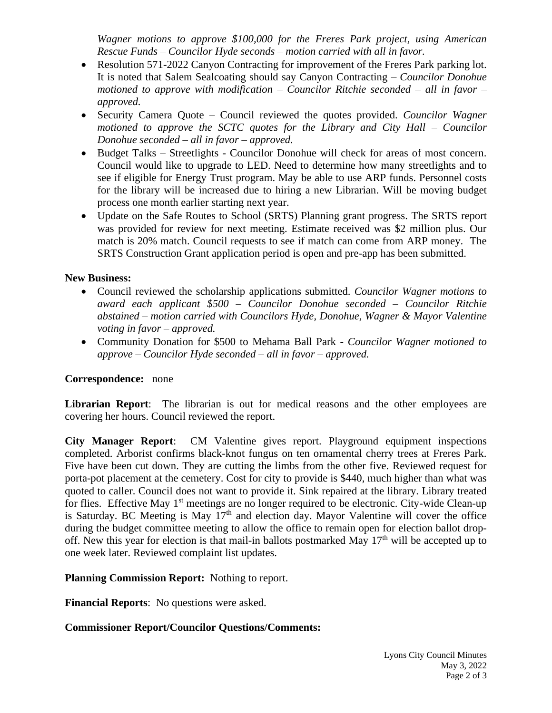*Wagner motions to approve \$100,000 for the Freres Park project, using American Rescue Funds – Councilor Hyde seconds – motion carried with all in favor.*

- Resolution 571-2022 Canyon Contracting for improvement of the Freres Park parking lot. It is noted that Salem Sealcoating should say Canyon Contracting – *Councilor Donohue motioned to approve with modification – Councilor Ritchie seconded – all in favor – approved.*
- Security Camera Quote Council reviewed the quotes provided. *Councilor Wagner motioned to approve the SCTC quotes for the Library and City Hall – Councilor Donohue seconded – all in favor – approved.*
- Budget Talks Streetlights Councilor Donohue will check for areas of most concern. Council would like to upgrade to LED. Need to determine how many streetlights and to see if eligible for Energy Trust program. May be able to use ARP funds. Personnel costs for the library will be increased due to hiring a new Librarian. Will be moving budget process one month earlier starting next year.
- Update on the Safe Routes to School (SRTS) Planning grant progress. The SRTS report was provided for review for next meeting. Estimate received was \$2 million plus. Our match is 20% match. Council requests to see if match can come from ARP money. The SRTS Construction Grant application period is open and pre-app has been submitted.

# **New Business:**

- Council reviewed the scholarship applications submitted. *Councilor Wagner motions to award each applicant \$500 – Councilor Donohue seconded – Councilor Ritchie abstained – motion carried with Councilors Hyde, Donohue, Wagner & Mayor Valentine voting in favor – approved.*
- Community Donation for \$500 to Mehama Ball Park *Councilor Wagner motioned to approve – Councilor Hyde seconded – all in favor – approved.*

# **Correspondence:** none

**Librarian Report**: The librarian is out for medical reasons and the other employees are covering her hours. Council reviewed the report.

**City Manager Report**: CM Valentine gives report. Playground equipment inspections completed. Arborist confirms black-knot fungus on ten ornamental cherry trees at Freres Park. Five have been cut down. They are cutting the limbs from the other five. Reviewed request for porta-pot placement at the cemetery. Cost for city to provide is \$440, much higher than what was quoted to caller. Council does not want to provide it. Sink repaired at the library. Library treated for flies. Effective May 1<sup>st</sup> meetings are no longer required to be electronic. City-wide Clean-up is Saturday. BC Meeting is May  $17<sup>th</sup>$  and election day. Mayor Valentine will cover the office during the budget committee meeting to allow the office to remain open for election ballot dropoff. New this year for election is that mail-in ballots postmarked May  $17<sup>th</sup>$  will be accepted up to one week later. Reviewed complaint list updates.

## **Planning Commission Report:** Nothing to report.

**Financial Reports**: No questions were asked.

## **Commissioner Report/Councilor Questions/Comments:**